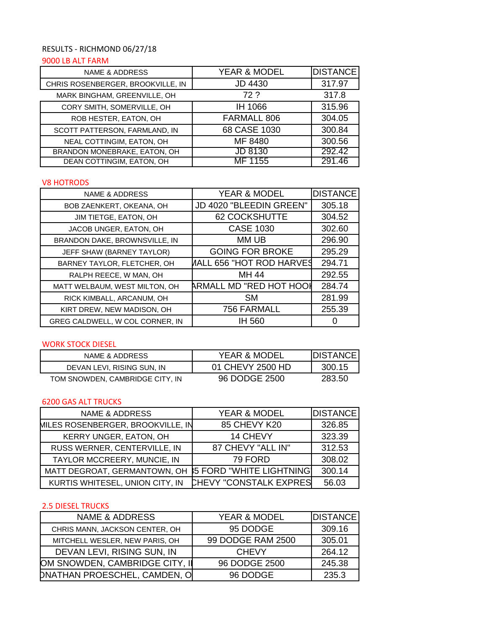# RESULTS - RICHMOND 06/27/18

### 9000 LB ALT FARM

| <b>NAME &amp; ADDRESS</b>         | <b>YEAR &amp; MODEL</b> | <b>DISTANCE</b> |
|-----------------------------------|-------------------------|-----------------|
| CHRIS ROSENBERGER, BROOKVILLE, IN | <b>JD 4430</b>          | 317.97          |
| MARK BINGHAM, GREENVILLE, OH      | 72.2                    | 317.8           |
| CORY SMITH, SOMERVILLE, OH        | IH 1066                 | 315.96          |
| ROB HESTER, EATON, OH             | FARMALL 806             | 304.05          |
| SCOTT PATTERSON, FARMLAND, IN     | 68 CASE 1030            | 300.84          |
| NEAL COTTINGIM, EATON, OH         | MF 8480                 | 300.56          |
| BRANDON MONEBRAKE, EATON, OH      | JD 8130                 | 292.42          |
| DEAN COTTINGIM, EATON, OH         | MF 1155                 | 291.46          |

## V8 HOTRODS

| <b>NAME &amp; ADDRESS</b>       | <b>YEAR &amp; MODEL</b>  | <b>DISTANCE</b> |
|---------------------------------|--------------------------|-----------------|
| BOB ZAENKERT, OKEANA, OH        | JD 4020 "BLEEDIN GREEN"  | 305.18          |
| JIM TIETGE, EATON, OH           | 62 COCKSHUTTE            | 304.52          |
| JACOB UNGER, EATON, OH          | <b>CASE 1030</b>         | 302.60          |
| BRANDON DAKE, BROWNSVILLE, IN   | MM UB                    | 296.90          |
| JEFF SHAW (BARNEY TAYLOR)       | <b>GOING FOR BROKE</b>   | 295.29          |
| BARNEY TAYLOR, FLETCHER, OH     | AALL 656 "HOT ROD HARVES | 294.71          |
| RALPH REECE, W MAN, OH          | MH 44                    | 292.55          |
| MATT WELBAUM, WEST MILTON, OH   | ARMALL MD "RED HOT HOOI  | 284.74          |
| RICK KIMBALL, ARCANUM, OH       | <b>SM</b>                | 281.99          |
| KIRT DREW, NEW MADISON, OH      | 756 FARMALL              | 255.39          |
| GREG CALDWELL, W COL CORNER, IN | IH 560                   |                 |

#### WORK STOCK DIESEL

| NAME & ADDRESS                  | <b>YEAR &amp; MODEL</b> | <b>IDISTANCE</b> |
|---------------------------------|-------------------------|------------------|
| DEVAN LEVI. RISING SUN. IN      | 01 CHEVY 2500 HD        | 300.15           |
| TOM SNOWDEN, CAMBRIDGE CITY, IN | 96 DODGE 2500           | 283.50           |

#### 6200 GAS ALT TRUCKS

| <b>NAME &amp; ADDRESS</b>         | YEAR & MODEL                     | <b>DISTANCE</b> |
|-----------------------------------|----------------------------------|-----------------|
| MILES ROSENBERGER, BROOKVILLE, IN | 85 CHEVY K20                     | 326.85          |
| KERRY UNGER, EATON, OH            | 14 CHEVY                         | 323.39          |
| RUSS WERNER, CENTERVILLE, IN      | 87 CHEVY "ALL IN"                | 312.53          |
| TAYLOR MCCREERY, MUNCIE, IN       | 79 FORD                          | 308.02          |
| MATT DEGROAT, GERMANTOWN, OH      | <b>\$5 FORD "WHITE LIGHTNING</b> | 300.14          |
| KURTIS WHITESEL, UNION CITY, IN   | <b>CHEVY "CONSTALK EXPRES</b>    | 56.03           |

## 2.5 DIESEL TRUCKS

| <b>NAME &amp; ADDRESS</b>      | <b>YEAR &amp; MODEL</b> | <b>DISTANCE</b> |
|--------------------------------|-------------------------|-----------------|
| CHRIS MANN, JACKSON CENTER, OH | 95 DODGE                | 309.16          |
| MITCHELL WESLER, NEW PARIS, OH | 99 DODGE RAM 2500       | 305.01          |
| DEVAN LEVI, RISING SUN, IN     | <b>CHEVY</b>            | 264.12          |
| OM SNOWDEN, CAMBRIDGE CITY, II | 96 DODGE 2500           | 245.38          |
| DNATHAN PROESCHEL, CAMDEN, O   | 96 DODGE                | 235.3           |